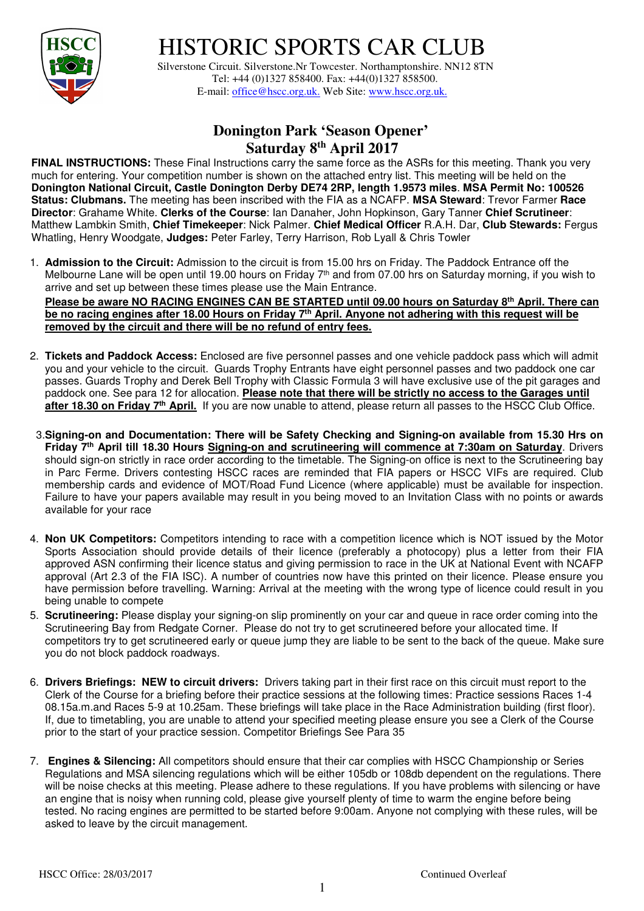

## HISTORIC SPORTS CAR CLUB

 Silverstone Circuit. Silverstone.Nr Towcester. Northamptonshire. NN12 8TN Tel: +44 (0)1327 858400. Fax: +44(0)1327 858500. E-mail: office@hscc.org.uk. Web Site: www.hscc.org.uk.

## **Donington Park 'Season Opener' Saturday 8th April 2017**

**FINAL INSTRUCTIONS:** These Final Instructions carry the same force as the ASRs for this meeting. Thank you very much for entering. Your competition number is shown on the attached entry list. This meeting will be held on the **Donington National Circuit, Castle Donington Derby DE74 2RP, length 1.9573 miles**. **MSA Permit No: 100526 Status: Clubmans.** The meeting has been inscribed with the FIA as a NCAFP. **MSA Steward**: Trevor Farmer **Race Director**: Grahame White. **Clerks of the Course**: Ian Danaher, John Hopkinson, Gary Tanner **Chief Scrutineer**: Matthew Lambkin Smith, **Chief Timekeeper**: Nick Palmer. **Chief Medical Officer** R.A.H. Dar, **Club Stewards:** Fergus Whatling, Henry Woodgate, **Judges:** Peter Farley, Terry Harrison, Rob Lyall & Chris Towler

1. **Admission to the Circuit:** Admission to the circuit is from 15.00 hrs on Friday. The Paddock Entrance off the Melbourne Lane will be open until 19.00 hours on Friday 7<sup>th</sup> and from 07.00 hrs on Saturday morning, if you wish to arrive and set up between these times please use the Main Entrance. **Please be aware NO RACING ENGINES CAN BE STARTED until 09.00 hours on Saturday 8th April. There can** 

**be no racing engines after 18.00 Hours on Friday 7th April. Anyone not adhering with this request will be removed by the circuit and there will be no refund of entry fees.** 

- 2. **Tickets and Paddock Access:** Enclosed are five personnel passes and one vehicle paddock pass which will admit you and your vehicle to the circuit. Guards Trophy Entrants have eight personnel passes and two paddock one car passes. Guards Trophy and Derek Bell Trophy with Classic Formula 3 will have exclusive use of the pit garages and paddock one. See para 12 for allocation. **Please note that there will be strictly no access to the Garages until**  after 18.30 on Friday 7<sup>th</sup> April. If you are now unable to attend, please return all passes to the HSCC Club Office.
- 3.**Signing-on and Documentation: There will be Safety Checking and Signing-on available from 15.30 Hrs on Friday 7th April till 18.30 Hours Signing-on and scrutineering will commence at 7:30am on Saturday**. Drivers should sign-on strictly in race order according to the timetable. The Signing-on office is next to the Scrutineering bay in Parc Ferme. Drivers contesting HSCC races are reminded that FIA papers or HSCC VIFs are required. Club membership cards and evidence of MOT/Road Fund Licence (where applicable) must be available for inspection. Failure to have your papers available may result in you being moved to an Invitation Class with no points or awards available for your race
- 4. **Non UK Competitors:** Competitors intending to race with a competition licence which is NOT issued by the Motor Sports Association should provide details of their licence (preferably a photocopy) plus a letter from their FIA approved ASN confirming their licence status and giving permission to race in the UK at National Event with NCAFP approval (Art 2.3 of the FIA ISC). A number of countries now have this printed on their licence. Please ensure you have permission before travelling. Warning: Arrival at the meeting with the wrong type of licence could result in you being unable to compete
- 5. **Scrutineering:** Please display your signing-on slip prominently on your car and queue in race order coming into the Scrutineering Bay from Redgate Corner. Please do not try to get scrutineered before your allocated time. If competitors try to get scrutineered early or queue jump they are liable to be sent to the back of the queue. Make sure you do not block paddock roadways.
- 6. **Drivers Briefings: NEW to circuit drivers:** Drivers taking part in their first race on this circuit must report to the Clerk of the Course for a briefing before their practice sessions at the following times: Practice sessions Races 1-4 08.15a.m.and Races 5-9 at 10.25am. These briefings will take place in the Race Administration building (first floor). If, due to timetabling, you are unable to attend your specified meeting please ensure you see a Clerk of the Course prior to the start of your practice session. Competitor Briefings See Para 35
- 7. **Engines & Silencing:** All competitors should ensure that their car complies with HSCC Championship or Series Regulations and MSA silencing regulations which will be either 105db or 108db dependent on the regulations. There will be noise checks at this meeting. Please adhere to these regulations. If you have problems with silencing or have an engine that is noisy when running cold, please give yourself plenty of time to warm the engine before being tested. No racing engines are permitted to be started before 9:00am. Anyone not complying with these rules, will be asked to leave by the circuit management.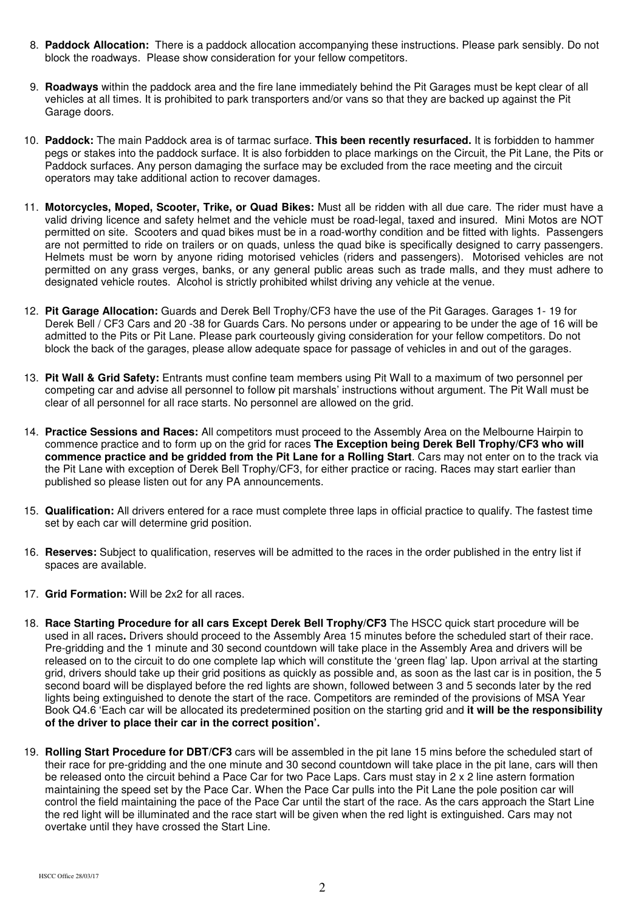- 8. **Paddock Allocation:** There is a paddock allocation accompanying these instructions. Please park sensibly. Do not block the roadways. Please show consideration for your fellow competitors.
- 9. **Roadways** within the paddock area and the fire lane immediately behind the Pit Garages must be kept clear of all vehicles at all times. It is prohibited to park transporters and/or vans so that they are backed up against the Pit Garage doors.
- 10. **Paddock:** The main Paddock area is of tarmac surface. **This been recently resurfaced.** It is forbidden to hammer pegs or stakes into the paddock surface. It is also forbidden to place markings on the Circuit, the Pit Lane, the Pits or Paddock surfaces. Any person damaging the surface may be excluded from the race meeting and the circuit operators may take additional action to recover damages.
- 11. **Motorcycles, Moped, Scooter, Trike, or Quad Bikes:** Must all be ridden with all due care. The rider must have a valid driving licence and safety helmet and the vehicle must be road-legal, taxed and insured. Mini Motos are NOT permitted on site. Scooters and quad bikes must be in a road-worthy condition and be fitted with lights. Passengers are not permitted to ride on trailers or on quads, unless the quad bike is specifically designed to carry passengers. Helmets must be worn by anyone riding motorised vehicles (riders and passengers). Motorised vehicles are not permitted on any grass verges, banks, or any general public areas such as trade malls, and they must adhere to designated vehicle routes. Alcohol is strictly prohibited whilst driving any vehicle at the venue.
- 12. **Pit Garage Allocation:** Guards and Derek Bell Trophy/CF3 have the use of the Pit Garages. Garages 1- 19 for Derek Bell / CF3 Cars and 20 -38 for Guards Cars. No persons under or appearing to be under the age of 16 will be admitted to the Pits or Pit Lane. Please park courteously giving consideration for your fellow competitors. Do not block the back of the garages, please allow adequate space for passage of vehicles in and out of the garages.
- 13. **Pit Wall & Grid Safety:** Entrants must confine team members using Pit Wall to a maximum of two personnel per competing car and advise all personnel to follow pit marshals' instructions without argument. The Pit Wall must be clear of all personnel for all race starts. No personnel are allowed on the grid.
- 14. **Practice Sessions and Races:** All competitors must proceed to the Assembly Area on the Melbourne Hairpin to commence practice and to form up on the grid for races **The Exception being Derek Bell Trophy/CF3 who will commence practice and be gridded from the Pit Lane for a Rolling Start**. Cars may not enter on to the track via the Pit Lane with exception of Derek Bell Trophy/CF3, for either practice or racing. Races may start earlier than published so please listen out for any PA announcements.
- 15. **Qualification:** All drivers entered for a race must complete three laps in official practice to qualify. The fastest time set by each car will determine grid position.
- 16. **Reserves:** Subject to qualification, reserves will be admitted to the races in the order published in the entry list if spaces are available.
- 17. **Grid Formation:** Will be 2x2 for all races.
- 18. **Race Starting Procedure for all cars Except Derek Bell Trophy/CF3** The HSCC quick start procedure will be used in all races**.** Drivers should proceed to the Assembly Area 15 minutes before the scheduled start of their race. Pre-gridding and the 1 minute and 30 second countdown will take place in the Assembly Area and drivers will be released on to the circuit to do one complete lap which will constitute the 'green flag' lap. Upon arrival at the starting grid, drivers should take up their grid positions as quickly as possible and, as soon as the last car is in position, the 5 second board will be displayed before the red lights are shown, followed between 3 and 5 seconds later by the red lights being extinguished to denote the start of the race. Competitors are reminded of the provisions of MSA Year Book Q4.6 'Each car will be allocated its predetermined position on the starting grid and **it will be the responsibility of the driver to place their car in the correct position'.**
- 19. **Rolling Start Procedure for DBT/CF3** cars will be assembled in the pit lane 15 mins before the scheduled start of their race for pre-gridding and the one minute and 30 second countdown will take place in the pit lane, cars will then be released onto the circuit behind a Pace Car for two Pace Laps. Cars must stay in 2 x 2 line astern formation maintaining the speed set by the Pace Car. When the Pace Car pulls into the Pit Lane the pole position car will control the field maintaining the pace of the Pace Car until the start of the race. As the cars approach the Start Line the red light will be illuminated and the race start will be given when the red light is extinguished. Cars may not overtake until they have crossed the Start Line.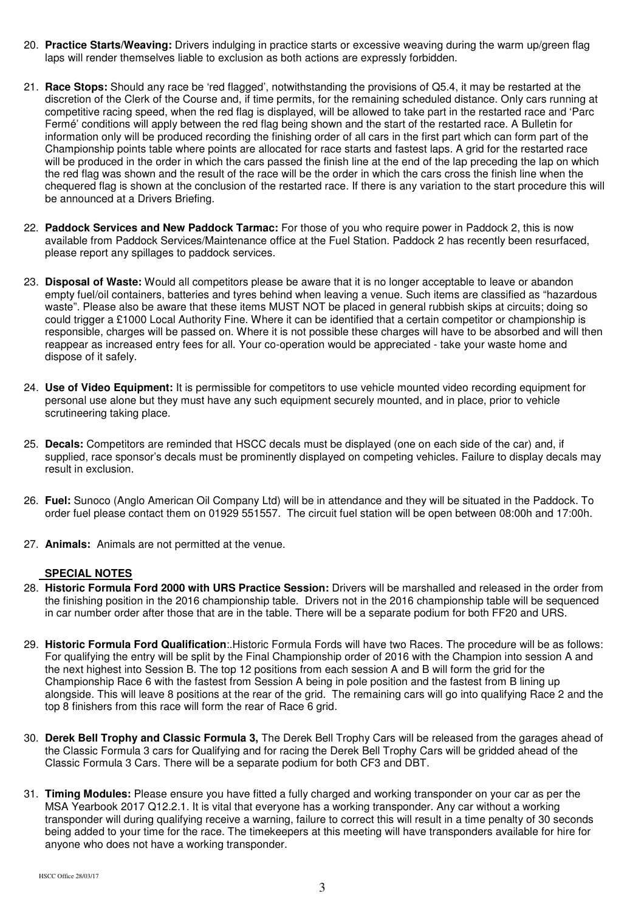- 20. **Practice Starts/Weaving:** Drivers indulging in practice starts or excessive weaving during the warm up/green flag laps will render themselves liable to exclusion as both actions are expressly forbidden.
- 21. **Race Stops:** Should any race be 'red flagged', notwithstanding the provisions of Q5.4, it may be restarted at the discretion of the Clerk of the Course and, if time permits, for the remaining scheduled distance. Only cars running at competitive racing speed, when the red flag is displayed, will be allowed to take part in the restarted race and 'Parc Fermé' conditions will apply between the red flag being shown and the start of the restarted race. A Bulletin for information only will be produced recording the finishing order of all cars in the first part which can form part of the Championship points table where points are allocated for race starts and fastest laps. A grid for the restarted race will be produced in the order in which the cars passed the finish line at the end of the lap preceding the lap on which the red flag was shown and the result of the race will be the order in which the cars cross the finish line when the chequered flag is shown at the conclusion of the restarted race. If there is any variation to the start procedure this will be announced at a Drivers Briefing.
- 22. **Paddock Services and New Paddock Tarmac:** For those of you who require power in Paddock 2, this is now available from Paddock Services/Maintenance office at the Fuel Station. Paddock 2 has recently been resurfaced, please report any spillages to paddock services.
- 23. **Disposal of Waste:** Would all competitors please be aware that it is no longer acceptable to leave or abandon empty fuel/oil containers, batteries and tyres behind when leaving a venue. Such items are classified as "hazardous waste". Please also be aware that these items MUST NOT be placed in general rubbish skips at circuits; doing so could trigger a £1000 Local Authority Fine. Where it can be identified that a certain competitor or championship is responsible, charges will be passed on. Where it is not possible these charges will have to be absorbed and will then reappear as increased entry fees for all. Your co-operation would be appreciated - take your waste home and dispose of it safely.
- 24. **Use of Video Equipment:** It is permissible for competitors to use vehicle mounted video recording equipment for personal use alone but they must have any such equipment securely mounted, and in place, prior to vehicle scrutineering taking place.
- 25. **Decals:** Competitors are reminded that HSCC decals must be displayed (one on each side of the car) and, if supplied, race sponsor's decals must be prominently displayed on competing vehicles. Failure to display decals may result in exclusion.
- 26. **Fuel:** Sunoco (Anglo American Oil Company Ltd) will be in attendance and they will be situated in the Paddock. To order fuel please contact them on 01929 551557. The circuit fuel station will be open between 08:00h and 17:00h.
- 27. **Animals:** Animals are not permitted at the venue.

## **SPECIAL NOTES**

- 28. **Historic Formula Ford 2000 with URS Practice Session:** Drivers will be marshalled and released in the order from the finishing position in the 2016 championship table. Drivers not in the 2016 championship table will be sequenced in car number order after those that are in the table. There will be a separate podium for both FF20 and URS.
- 29. **Historic Formula Ford Qualification**:.Historic Formula Fords will have two Races. The procedure will be as follows: For qualifying the entry will be split by the Final Championship order of 2016 with the Champion into session A and the next highest into Session B. The top 12 positions from each session A and B will form the grid for the Championship Race 6 with the fastest from Session A being in pole position and the fastest from B lining up alongside. This will leave 8 positions at the rear of the grid. The remaining cars will go into qualifying Race 2 and the top 8 finishers from this race will form the rear of Race 6 grid.
- 30. **Derek Bell Trophy and Classic Formula 3,** The Derek Bell Trophy Cars will be released from the garages ahead of the Classic Formula 3 cars for Qualifying and for racing the Derek Bell Trophy Cars will be gridded ahead of the Classic Formula 3 Cars. There will be a separate podium for both CF3 and DBT.
- 31. **Timing Modules:** Please ensure you have fitted a fully charged and working transponder on your car as per the MSA Yearbook 2017 Q12.2.1. It is vital that everyone has a working transponder. Any car without a working transponder will during qualifying receive a warning, failure to correct this will result in a time penalty of 30 seconds being added to your time for the race. The timekeepers at this meeting will have transponders available for hire for anyone who does not have a working transponder.